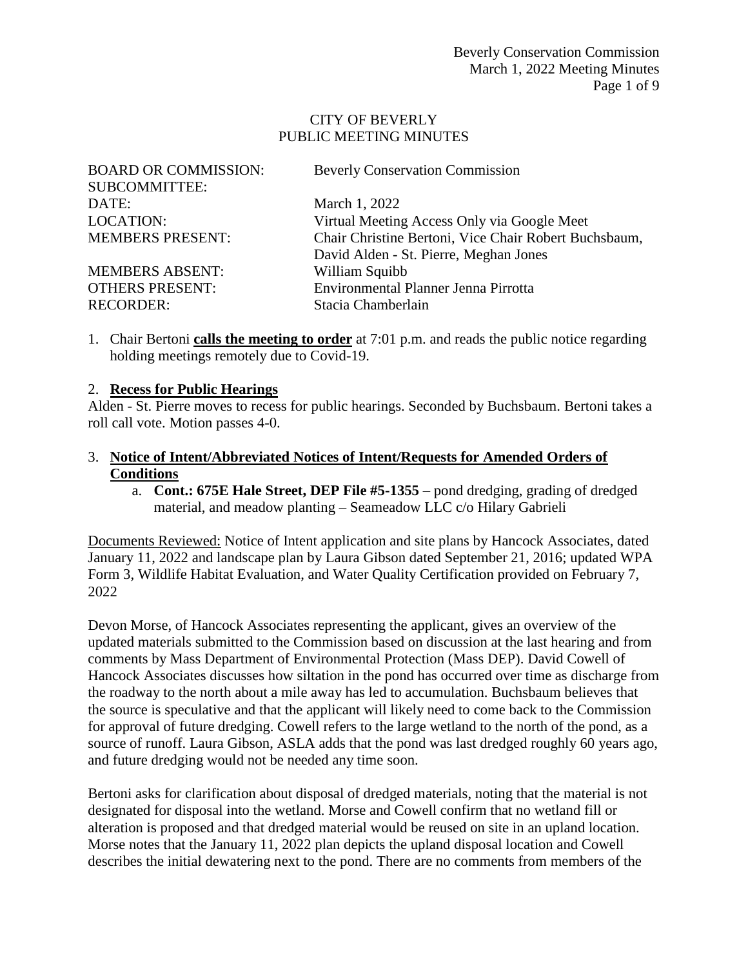#### CITY OF BEVERLY PUBLIC MEETING MINUTES

| <b>Beverly Conservation Commission</b>                |
|-------------------------------------------------------|
|                                                       |
| March 1, 2022                                         |
| Virtual Meeting Access Only via Google Meet           |
| Chair Christine Bertoni, Vice Chair Robert Buchsbaum, |
| David Alden - St. Pierre, Meghan Jones                |
| William Squibb                                        |
| Environmental Planner Jenna Pirrotta                  |
| Stacia Chamberlain                                    |
|                                                       |

1. Chair Bertoni **calls the meeting to order** at 7:01 p.m. and reads the public notice regarding holding meetings remotely due to Covid-19.

#### 2. **Recess for Public Hearings**

Alden - St. Pierre moves to recess for public hearings. Seconded by Buchsbaum. Bertoni takes a roll call vote. Motion passes 4-0.

#### 3. **Notice of Intent/Abbreviated Notices of Intent/Requests for Amended Orders of Conditions**

a. **Cont.: 675E Hale Street, DEP File #5-1355** – pond dredging, grading of dredged material, and meadow planting – Seameadow LLC c/o Hilary Gabrieli

Documents Reviewed: Notice of Intent application and site plans by Hancock Associates, dated January 11, 2022 and landscape plan by Laura Gibson dated September 21, 2016; updated WPA Form 3, Wildlife Habitat Evaluation, and Water Quality Certification provided on February 7, 2022

Devon Morse, of Hancock Associates representing the applicant, gives an overview of the updated materials submitted to the Commission based on discussion at the last hearing and from comments by Mass Department of Environmental Protection (Mass DEP). David Cowell of Hancock Associates discusses how siltation in the pond has occurred over time as discharge from the roadway to the north about a mile away has led to accumulation. Buchsbaum believes that the source is speculative and that the applicant will likely need to come back to the Commission for approval of future dredging. Cowell refers to the large wetland to the north of the pond, as a source of runoff. Laura Gibson, ASLA adds that the pond was last dredged roughly 60 years ago, and future dredging would not be needed any time soon.

Bertoni asks for clarification about disposal of dredged materials, noting that the material is not designated for disposal into the wetland. Morse and Cowell confirm that no wetland fill or alteration is proposed and that dredged material would be reused on site in an upland location. Morse notes that the January 11, 2022 plan depicts the upland disposal location and Cowell describes the initial dewatering next to the pond. There are no comments from members of the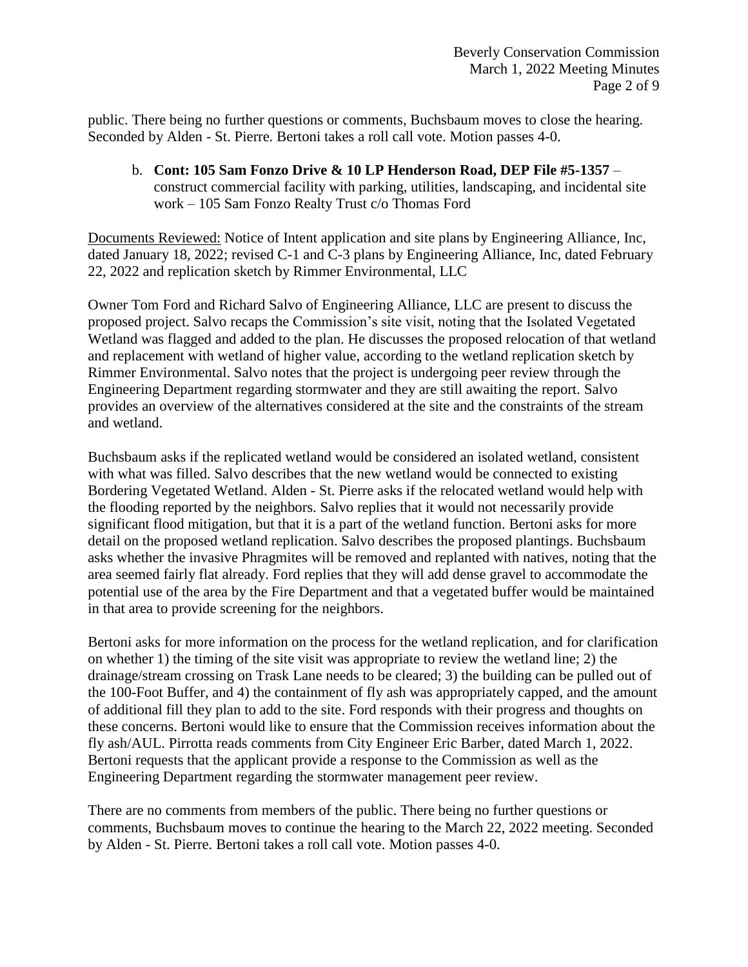public. There being no further questions or comments, Buchsbaum moves to close the hearing. Seconded by Alden - St. Pierre. Bertoni takes a roll call vote. Motion passes 4-0.

b. **Cont: 105 Sam Fonzo Drive & 10 LP Henderson Road, DEP File #5-1357** – construct commercial facility with parking, utilities, landscaping, and incidental site work – 105 Sam Fonzo Realty Trust c/o Thomas Ford

Documents Reviewed: Notice of Intent application and site plans by Engineering Alliance, Inc, dated January 18, 2022; revised C-1 and C-3 plans by Engineering Alliance, Inc, dated February 22, 2022 and replication sketch by Rimmer Environmental, LLC

Owner Tom Ford and Richard Salvo of Engineering Alliance, LLC are present to discuss the proposed project. Salvo recaps the Commission's site visit, noting that the Isolated Vegetated Wetland was flagged and added to the plan. He discusses the proposed relocation of that wetland and replacement with wetland of higher value, according to the wetland replication sketch by Rimmer Environmental. Salvo notes that the project is undergoing peer review through the Engineering Department regarding stormwater and they are still awaiting the report. Salvo provides an overview of the alternatives considered at the site and the constraints of the stream and wetland.

Buchsbaum asks if the replicated wetland would be considered an isolated wetland, consistent with what was filled. Salvo describes that the new wetland would be connected to existing Bordering Vegetated Wetland. Alden - St. Pierre asks if the relocated wetland would help with the flooding reported by the neighbors. Salvo replies that it would not necessarily provide significant flood mitigation, but that it is a part of the wetland function. Bertoni asks for more detail on the proposed wetland replication. Salvo describes the proposed plantings. Buchsbaum asks whether the invasive Phragmites will be removed and replanted with natives, noting that the area seemed fairly flat already. Ford replies that they will add dense gravel to accommodate the potential use of the area by the Fire Department and that a vegetated buffer would be maintained in that area to provide screening for the neighbors.

Bertoni asks for more information on the process for the wetland replication, and for clarification on whether 1) the timing of the site visit was appropriate to review the wetland line; 2) the drainage/stream crossing on Trask Lane needs to be cleared; 3) the building can be pulled out of the 100-Foot Buffer, and 4) the containment of fly ash was appropriately capped, and the amount of additional fill they plan to add to the site. Ford responds with their progress and thoughts on these concerns. Bertoni would like to ensure that the Commission receives information about the fly ash/AUL. Pirrotta reads comments from City Engineer Eric Barber, dated March 1, 2022. Bertoni requests that the applicant provide a response to the Commission as well as the Engineering Department regarding the stormwater management peer review.

There are no comments from members of the public. There being no further questions or comments, Buchsbaum moves to continue the hearing to the March 22, 2022 meeting. Seconded by Alden - St. Pierre. Bertoni takes a roll call vote. Motion passes 4-0.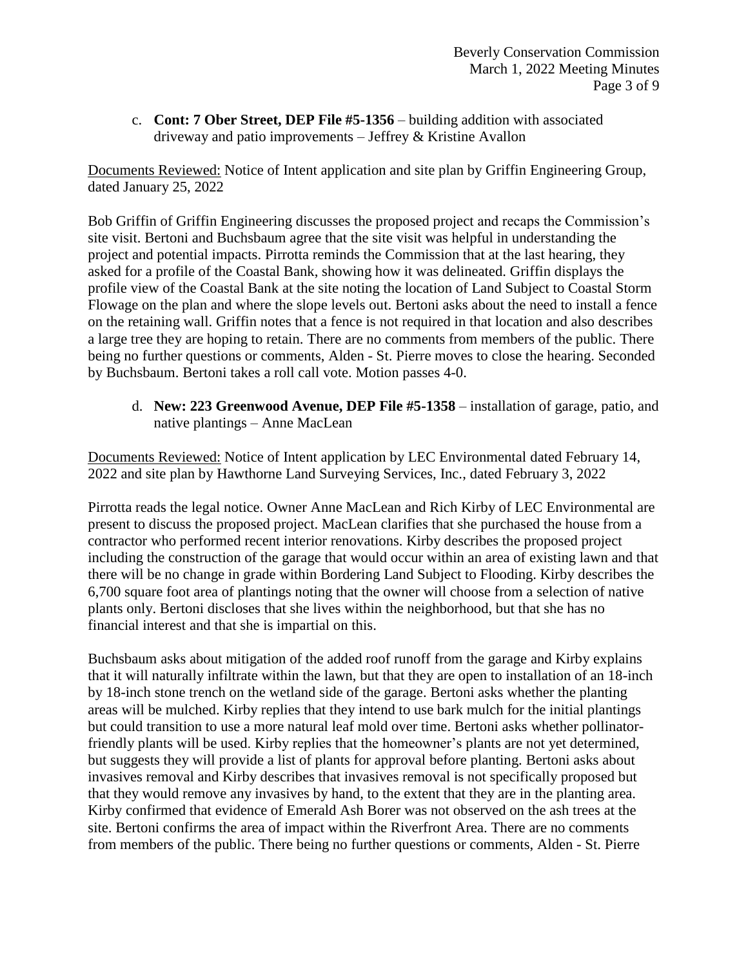c. **Cont: 7 Ober Street, DEP File #5-1356** – building addition with associated driveway and patio improvements – Jeffrey & Kristine Avallon

Documents Reviewed: Notice of Intent application and site plan by Griffin Engineering Group, dated January 25, 2022

Bob Griffin of Griffin Engineering discusses the proposed project and recaps the Commission's site visit. Bertoni and Buchsbaum agree that the site visit was helpful in understanding the project and potential impacts. Pirrotta reminds the Commission that at the last hearing, they asked for a profile of the Coastal Bank, showing how it was delineated. Griffin displays the profile view of the Coastal Bank at the site noting the location of Land Subject to Coastal Storm Flowage on the plan and where the slope levels out. Bertoni asks about the need to install a fence on the retaining wall. Griffin notes that a fence is not required in that location and also describes a large tree they are hoping to retain. There are no comments from members of the public. There being no further questions or comments, Alden - St. Pierre moves to close the hearing. Seconded by Buchsbaum. Bertoni takes a roll call vote. Motion passes 4-0.

d. **New: 223 Greenwood Avenue, DEP File #5-1358** – installation of garage, patio, and native plantings – Anne MacLean

Documents Reviewed: Notice of Intent application by LEC Environmental dated February 14, 2022 and site plan by Hawthorne Land Surveying Services, Inc., dated February 3, 2022

Pirrotta reads the legal notice. Owner Anne MacLean and Rich Kirby of LEC Environmental are present to discuss the proposed project. MacLean clarifies that she purchased the house from a contractor who performed recent interior renovations. Kirby describes the proposed project including the construction of the garage that would occur within an area of existing lawn and that there will be no change in grade within Bordering Land Subject to Flooding. Kirby describes the 6,700 square foot area of plantings noting that the owner will choose from a selection of native plants only. Bertoni discloses that she lives within the neighborhood, but that she has no financial interest and that she is impartial on this.

Buchsbaum asks about mitigation of the added roof runoff from the garage and Kirby explains that it will naturally infiltrate within the lawn, but that they are open to installation of an 18-inch by 18-inch stone trench on the wetland side of the garage. Bertoni asks whether the planting areas will be mulched. Kirby replies that they intend to use bark mulch for the initial plantings but could transition to use a more natural leaf mold over time. Bertoni asks whether pollinatorfriendly plants will be used. Kirby replies that the homeowner's plants are not yet determined, but suggests they will provide a list of plants for approval before planting. Bertoni asks about invasives removal and Kirby describes that invasives removal is not specifically proposed but that they would remove any invasives by hand, to the extent that they are in the planting area. Kirby confirmed that evidence of Emerald Ash Borer was not observed on the ash trees at the site. Bertoni confirms the area of impact within the Riverfront Area. There are no comments from members of the public. There being no further questions or comments, Alden - St. Pierre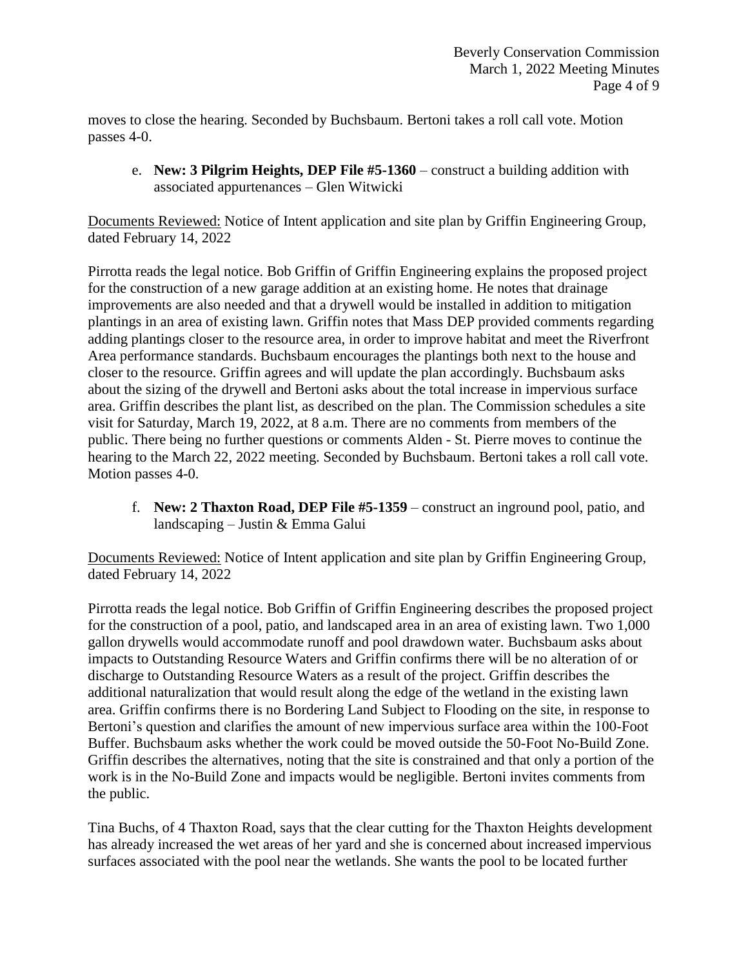moves to close the hearing. Seconded by Buchsbaum. Bertoni takes a roll call vote. Motion passes 4-0.

e. **New: 3 Pilgrim Heights, DEP File #5-1360** – construct a building addition with associated appurtenances – Glen Witwicki

Documents Reviewed: Notice of Intent application and site plan by Griffin Engineering Group, dated February 14, 2022

Pirrotta reads the legal notice. Bob Griffin of Griffin Engineering explains the proposed project for the construction of a new garage addition at an existing home. He notes that drainage improvements are also needed and that a drywell would be installed in addition to mitigation plantings in an area of existing lawn. Griffin notes that Mass DEP provided comments regarding adding plantings closer to the resource area, in order to improve habitat and meet the Riverfront Area performance standards. Buchsbaum encourages the plantings both next to the house and closer to the resource. Griffin agrees and will update the plan accordingly. Buchsbaum asks about the sizing of the drywell and Bertoni asks about the total increase in impervious surface area. Griffin describes the plant list, as described on the plan. The Commission schedules a site visit for Saturday, March 19, 2022, at 8 a.m. There are no comments from members of the public. There being no further questions or comments Alden - St. Pierre moves to continue the hearing to the March 22, 2022 meeting. Seconded by Buchsbaum. Bertoni takes a roll call vote. Motion passes 4-0.

f. **New: 2 Thaxton Road, DEP File #5-1359** – construct an inground pool, patio, and landscaping – Justin & Emma Galui

Documents Reviewed: Notice of Intent application and site plan by Griffin Engineering Group, dated February 14, 2022

Pirrotta reads the legal notice. Bob Griffin of Griffin Engineering describes the proposed project for the construction of a pool, patio, and landscaped area in an area of existing lawn. Two 1,000 gallon drywells would accommodate runoff and pool drawdown water. Buchsbaum asks about impacts to Outstanding Resource Waters and Griffin confirms there will be no alteration of or discharge to Outstanding Resource Waters as a result of the project. Griffin describes the additional naturalization that would result along the edge of the wetland in the existing lawn area. Griffin confirms there is no Bordering Land Subject to Flooding on the site, in response to Bertoni's question and clarifies the amount of new impervious surface area within the 100-Foot Buffer. Buchsbaum asks whether the work could be moved outside the 50-Foot No-Build Zone. Griffin describes the alternatives, noting that the site is constrained and that only a portion of the work is in the No-Build Zone and impacts would be negligible. Bertoni invites comments from the public.

Tina Buchs, of 4 Thaxton Road, says that the clear cutting for the Thaxton Heights development has already increased the wet areas of her yard and she is concerned about increased impervious surfaces associated with the pool near the wetlands. She wants the pool to be located further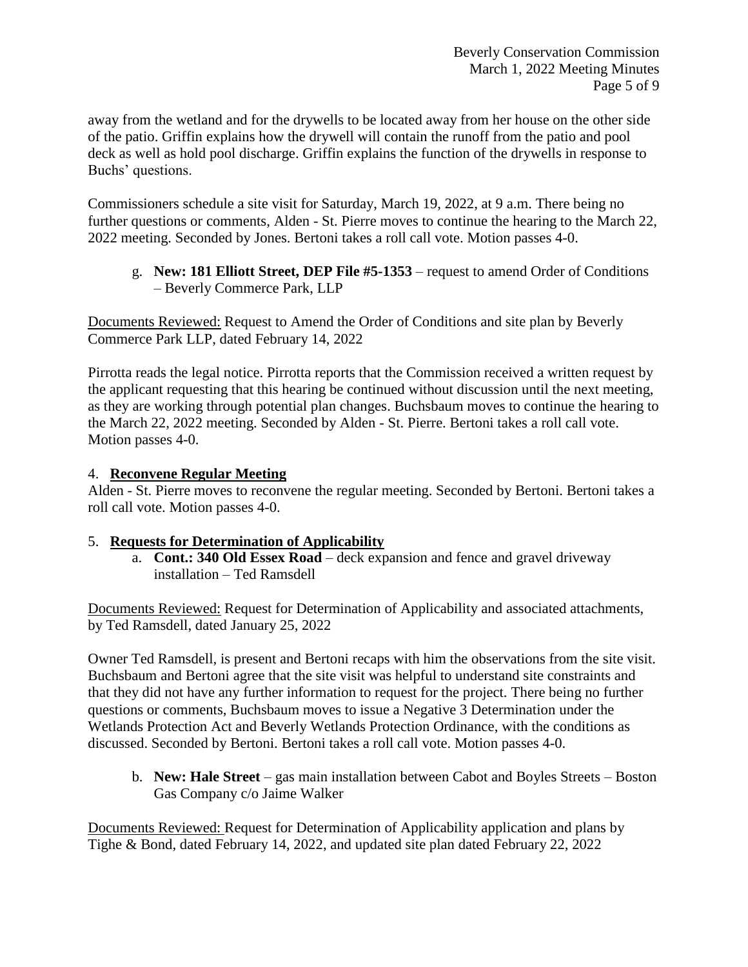away from the wetland and for the drywells to be located away from her house on the other side of the patio. Griffin explains how the drywell will contain the runoff from the patio and pool deck as well as hold pool discharge. Griffin explains the function of the drywells in response to Buchs' questions.

Commissioners schedule a site visit for Saturday, March 19, 2022, at 9 a.m. There being no further questions or comments, Alden - St. Pierre moves to continue the hearing to the March 22, 2022 meeting. Seconded by Jones. Bertoni takes a roll call vote. Motion passes 4-0.

## g. **New: 181 Elliott Street, DEP File #5-1353** – request to amend Order of Conditions – Beverly Commerce Park, LLP

Documents Reviewed: Request to Amend the Order of Conditions and site plan by Beverly Commerce Park LLP, dated February 14, 2022

Pirrotta reads the legal notice. Pirrotta reports that the Commission received a written request by the applicant requesting that this hearing be continued without discussion until the next meeting, as they are working through potential plan changes. Buchsbaum moves to continue the hearing to the March 22, 2022 meeting. Seconded by Alden - St. Pierre. Bertoni takes a roll call vote. Motion passes 4-0.

# 4. **Reconvene Regular Meeting**

Alden - St. Pierre moves to reconvene the regular meeting. Seconded by Bertoni. Bertoni takes a roll call vote. Motion passes 4-0.

## 5. **Requests for Determination of Applicability**

a. **Cont.: 340 Old Essex Road** – deck expansion and fence and gravel driveway installation – Ted Ramsdell

Documents Reviewed: Request for Determination of Applicability and associated attachments, by Ted Ramsdell, dated January 25, 2022

Owner Ted Ramsdell, is present and Bertoni recaps with him the observations from the site visit. Buchsbaum and Bertoni agree that the site visit was helpful to understand site constraints and that they did not have any further information to request for the project. There being no further questions or comments, Buchsbaum moves to issue a Negative 3 Determination under the Wetlands Protection Act and Beverly Wetlands Protection Ordinance, with the conditions as discussed. Seconded by Bertoni. Bertoni takes a roll call vote. Motion passes 4-0.

b. **New: Hale Street** – gas main installation between Cabot and Boyles Streets – Boston Gas Company c/o Jaime Walker

Documents Reviewed: Request for Determination of Applicability application and plans by Tighe & Bond, dated February 14, 2022, and updated site plan dated February 22, 2022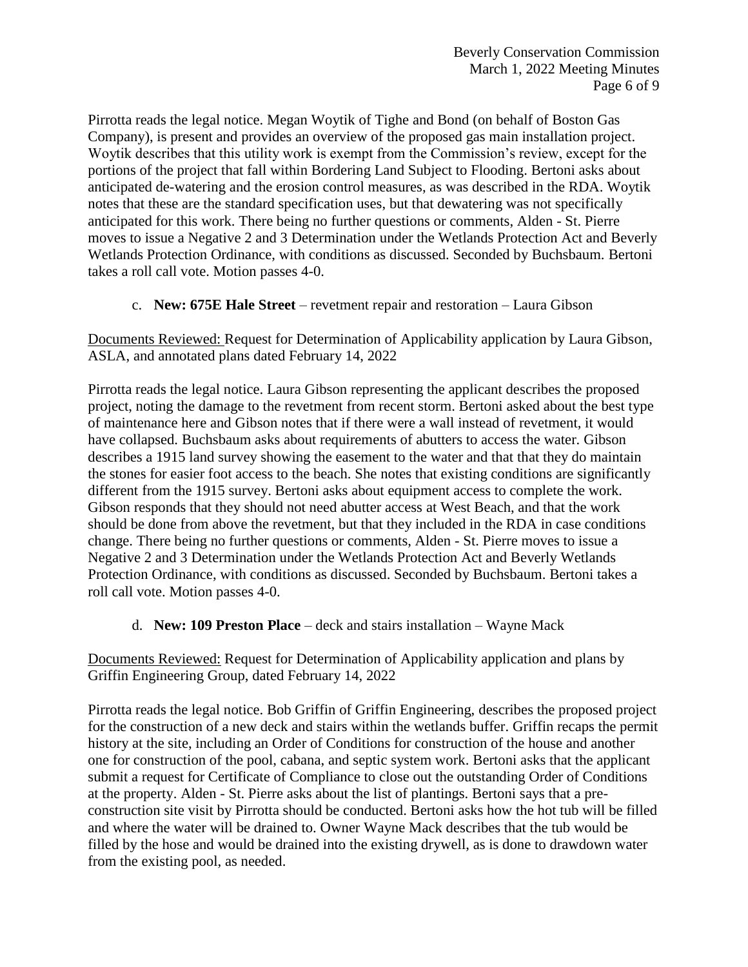Pirrotta reads the legal notice. Megan Woytik of Tighe and Bond (on behalf of Boston Gas Company), is present and provides an overview of the proposed gas main installation project. Woytik describes that this utility work is exempt from the Commission's review, except for the portions of the project that fall within Bordering Land Subject to Flooding. Bertoni asks about anticipated de-watering and the erosion control measures, as was described in the RDA. Woytik notes that these are the standard specification uses, but that dewatering was not specifically anticipated for this work. There being no further questions or comments, Alden - St. Pierre moves to issue a Negative 2 and 3 Determination under the Wetlands Protection Act and Beverly Wetlands Protection Ordinance, with conditions as discussed. Seconded by Buchsbaum. Bertoni takes a roll call vote. Motion passes 4-0.

c. **New: 675E Hale Street** – revetment repair and restoration – Laura Gibson

Documents Reviewed: Request for Determination of Applicability application by Laura Gibson, ASLA, and annotated plans dated February 14, 2022

Pirrotta reads the legal notice. Laura Gibson representing the applicant describes the proposed project, noting the damage to the revetment from recent storm. Bertoni asked about the best type of maintenance here and Gibson notes that if there were a wall instead of revetment, it would have collapsed. Buchsbaum asks about requirements of abutters to access the water. Gibson describes a 1915 land survey showing the easement to the water and that that they do maintain the stones for easier foot access to the beach. She notes that existing conditions are significantly different from the 1915 survey. Bertoni asks about equipment access to complete the work. Gibson responds that they should not need abutter access at West Beach, and that the work should be done from above the revetment, but that they included in the RDA in case conditions change. There being no further questions or comments, Alden - St. Pierre moves to issue a Negative 2 and 3 Determination under the Wetlands Protection Act and Beverly Wetlands Protection Ordinance, with conditions as discussed. Seconded by Buchsbaum. Bertoni takes a roll call vote. Motion passes 4-0.

d. **New: 109 Preston Place** – deck and stairs installation – Wayne Mack

Documents Reviewed: Request for Determination of Applicability application and plans by Griffin Engineering Group, dated February 14, 2022

Pirrotta reads the legal notice. Bob Griffin of Griffin Engineering, describes the proposed project for the construction of a new deck and stairs within the wetlands buffer. Griffin recaps the permit history at the site, including an Order of Conditions for construction of the house and another one for construction of the pool, cabana, and septic system work. Bertoni asks that the applicant submit a request for Certificate of Compliance to close out the outstanding Order of Conditions at the property. Alden - St. Pierre asks about the list of plantings. Bertoni says that a preconstruction site visit by Pirrotta should be conducted. Bertoni asks how the hot tub will be filled and where the water will be drained to. Owner Wayne Mack describes that the tub would be filled by the hose and would be drained into the existing drywell, as is done to drawdown water from the existing pool, as needed.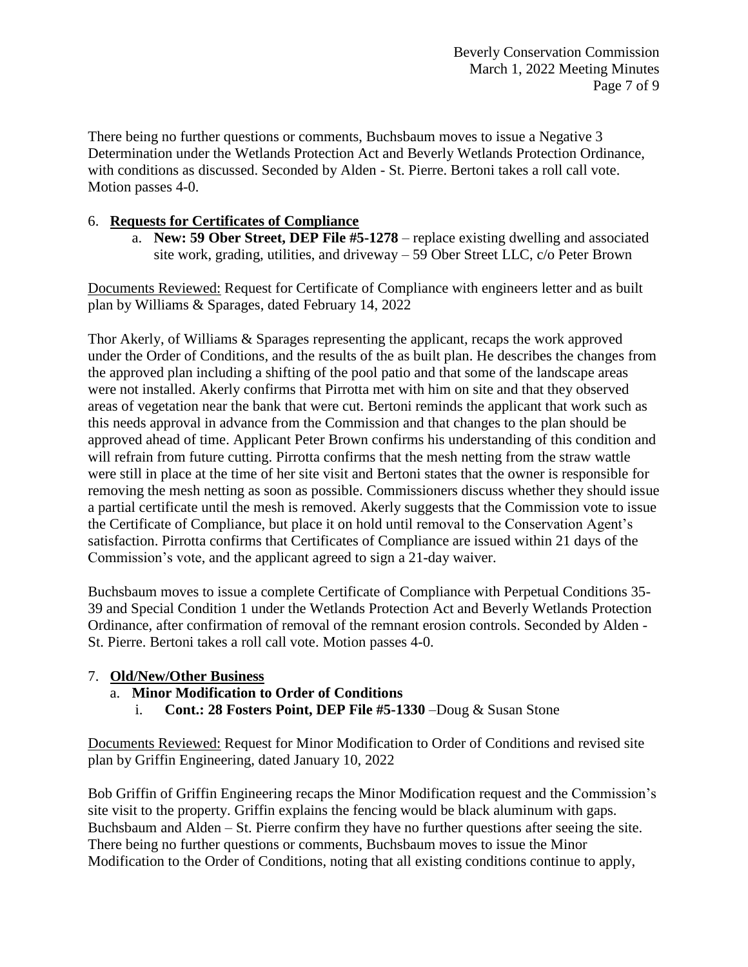There being no further questions or comments, Buchsbaum moves to issue a Negative 3 Determination under the Wetlands Protection Act and Beverly Wetlands Protection Ordinance, with conditions as discussed. Seconded by Alden - St. Pierre. Bertoni takes a roll call vote. Motion passes 4-0.

## 6. **Requests for Certificates of Compliance**

a. **New: 59 Ober Street, DEP File #5-1278** – replace existing dwelling and associated site work, grading, utilities, and driveway – 59 Ober Street LLC, c/o Peter Brown

Documents Reviewed: Request for Certificate of Compliance with engineers letter and as built plan by Williams & Sparages, dated February 14, 2022

Thor Akerly, of Williams & Sparages representing the applicant, recaps the work approved under the Order of Conditions, and the results of the as built plan. He describes the changes from the approved plan including a shifting of the pool patio and that some of the landscape areas were not installed. Akerly confirms that Pirrotta met with him on site and that they observed areas of vegetation near the bank that were cut. Bertoni reminds the applicant that work such as this needs approval in advance from the Commission and that changes to the plan should be approved ahead of time. Applicant Peter Brown confirms his understanding of this condition and will refrain from future cutting. Pirrotta confirms that the mesh netting from the straw wattle were still in place at the time of her site visit and Bertoni states that the owner is responsible for removing the mesh netting as soon as possible. Commissioners discuss whether they should issue a partial certificate until the mesh is removed. Akerly suggests that the Commission vote to issue the Certificate of Compliance, but place it on hold until removal to the Conservation Agent's satisfaction. Pirrotta confirms that Certificates of Compliance are issued within 21 days of the Commission's vote, and the applicant agreed to sign a 21-day waiver.

Buchsbaum moves to issue a complete Certificate of Compliance with Perpetual Conditions 35- 39 and Special Condition 1 under the Wetlands Protection Act and Beverly Wetlands Protection Ordinance, after confirmation of removal of the remnant erosion controls. Seconded by Alden - St. Pierre. Bertoni takes a roll call vote. Motion passes 4-0.

## 7. **Old/New/Other Business**

- a. **Minor Modification to Order of Conditions**
	- i. **Cont.: 28 Fosters Point, DEP File #5-1330** –Doug & Susan Stone

Documents Reviewed: Request for Minor Modification to Order of Conditions and revised site plan by Griffin Engineering, dated January 10, 2022

Bob Griffin of Griffin Engineering recaps the Minor Modification request and the Commission's site visit to the property. Griffin explains the fencing would be black aluminum with gaps. Buchsbaum and Alden – St. Pierre confirm they have no further questions after seeing the site. There being no further questions or comments, Buchsbaum moves to issue the Minor Modification to the Order of Conditions, noting that all existing conditions continue to apply,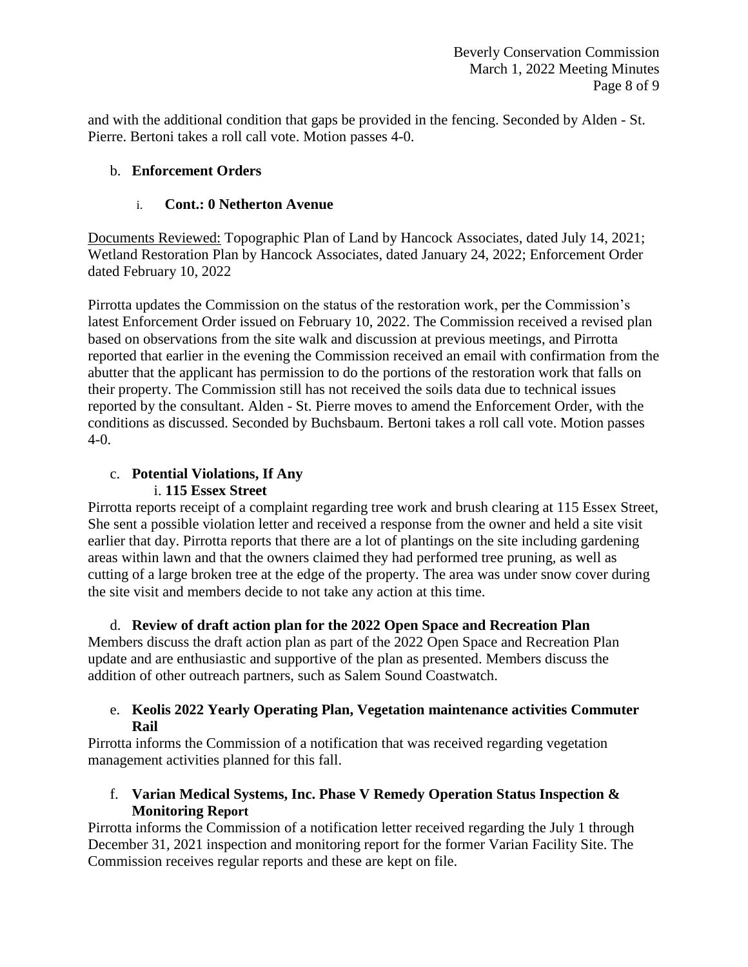and with the additional condition that gaps be provided in the fencing. Seconded by Alden - St. Pierre. Bertoni takes a roll call vote. Motion passes 4-0.

## b. **Enforcement Orders**

## i. **Cont.: 0 Netherton Avenue**

Documents Reviewed: Topographic Plan of Land by Hancock Associates, dated July 14, 2021; Wetland Restoration Plan by Hancock Associates, dated January 24, 2022; Enforcement Order dated February 10, 2022

Pirrotta updates the Commission on the status of the restoration work, per the Commission's latest Enforcement Order issued on February 10, 2022. The Commission received a revised plan based on observations from the site walk and discussion at previous meetings, and Pirrotta reported that earlier in the evening the Commission received an email with confirmation from the abutter that the applicant has permission to do the portions of the restoration work that falls on their property. The Commission still has not received the soils data due to technical issues reported by the consultant. Alden - St. Pierre moves to amend the Enforcement Order, with the conditions as discussed. Seconded by Buchsbaum. Bertoni takes a roll call vote. Motion passes 4-0.

# c. **Potential Violations, If Any** i. **115 Essex Street**

Pirrotta reports receipt of a complaint regarding tree work and brush clearing at 115 Essex Street, She sent a possible violation letter and received a response from the owner and held a site visit earlier that day. Pirrotta reports that there are a lot of plantings on the site including gardening areas within lawn and that the owners claimed they had performed tree pruning, as well as cutting of a large broken tree at the edge of the property. The area was under snow cover during the site visit and members decide to not take any action at this time.

d. **Review of draft action plan for the 2022 Open Space and Recreation Plan** Members discuss the draft action plan as part of the 2022 Open Space and Recreation Plan update and are enthusiastic and supportive of the plan as presented. Members discuss the addition of other outreach partners, such as Salem Sound Coastwatch.

## e. **Keolis 2022 Yearly Operating Plan, Vegetation maintenance activities Commuter Rail**

Pirrotta informs the Commission of a notification that was received regarding vegetation management activities planned for this fall.

# f. **Varian Medical Systems, Inc. Phase V Remedy Operation Status Inspection & Monitoring Report**

Pirrotta informs the Commission of a notification letter received regarding the July 1 through December 31, 2021 inspection and monitoring report for the former Varian Facility Site. The Commission receives regular reports and these are kept on file.